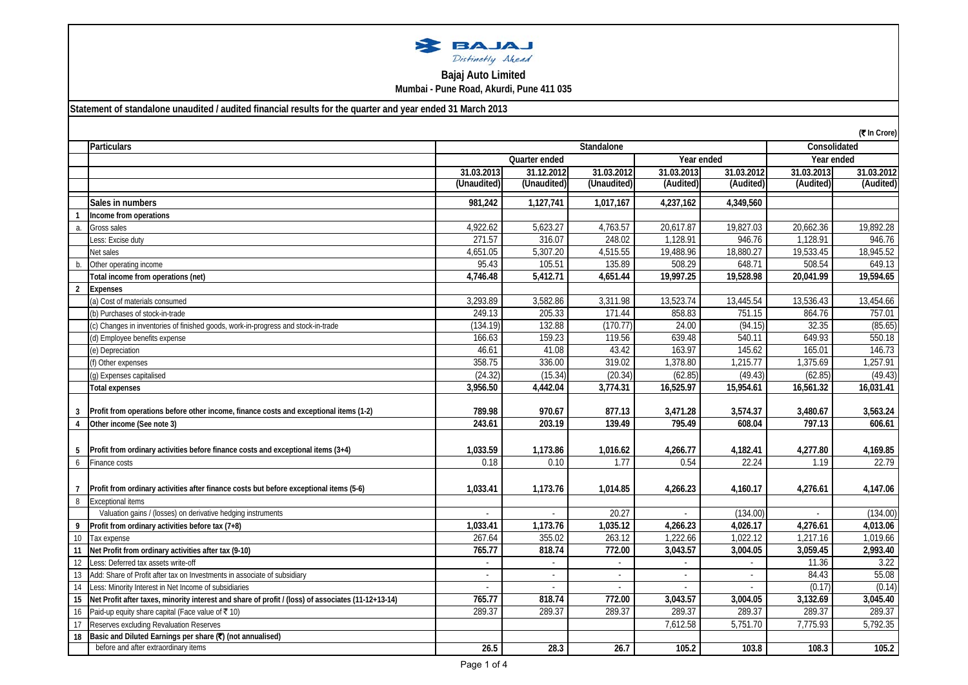| BAJAJ            |  |
|------------------|--|
| Distinctly Ahead |  |

## **Bajaj Auto Limited Mumbai - Pune Road, Akurdi, Pune 411 035**

**Statement of standalone unaudited / audited financial results for the quarter and year ended 31 March 2013**

|                 | (₹ In Crore)                                                                                       |               |             |             |                       |              |            |            |
|-----------------|----------------------------------------------------------------------------------------------------|---------------|-------------|-------------|-----------------------|--------------|------------|------------|
|                 | <b>Particulars</b>                                                                                 | Standalone    |             |             |                       | Consolidated |            |            |
|                 |                                                                                                    | Quarter ended |             | Year ended  |                       | Year ended   |            |            |
|                 |                                                                                                    | 31.03.2013    | 31.12.2012  | 31.03.2012  | 31.03.2013            | 31.03.2012   | 31.03.2013 | 31.03.2012 |
|                 |                                                                                                    | (Unaudited)   | (Unaudited) | (Unaudited) | (Audited)             | (Audited)    | (Audited)  | (Audited)  |
|                 | Sales in numbers                                                                                   | 981,242       | 1,127,741   | 1,017,167   | 4,237,162             | 4,349,560    |            |            |
|                 | Income from operations                                                                             |               |             |             |                       |              |            |            |
| a.              | Gross sales                                                                                        | 4,922.62      | 5,623.27    | 4,763.57    | 20,617.87             | 19,827.03    | 20,662.36  | 19,892.28  |
|                 | Less: Excise duty                                                                                  | 271.57        | 316.07      | 248.02      | 1,128.91              | 946.76       | 1,128.91   | 946.76     |
|                 | Net sales                                                                                          | 4,651.05      | 5,307.20    | 4,515.55    | 19,488.96             | 18,880.27    | 19,533.45  | 18,945.52  |
| h               | Other operating income                                                                             | 95.43         | 105.51      | 135.89      | 508.29                | 648.71       | 508.54     | 649.13     |
|                 | Total income from operations (net)                                                                 | 4.746.48      | 5,412.71    | 4,651.44    | 19,997.25             | 19,528.98    | 20,041.99  | 19,594.65  |
| $\overline{2}$  | <b>Expenses</b>                                                                                    |               |             |             |                       |              |            |            |
|                 | (a) Cost of materials consumed                                                                     | 3,293.89      | 3,582.86    | 3,311.98    | 13,523.74             | 13,445.54    | 13,536.43  | 13,454.66  |
|                 | (b) Purchases of stock-in-trade                                                                    | 249.13        | 205.33      | 171.44      | 858.83                | 751.15       | 864.76     | 757.01     |
|                 | (c) Changes in inventories of finished goods, work-in-progress and stock-in-trade                  | (134.19)      | 132.88      | (170.77)    | 24.00                 | (94.15)      | 32.35      | (85.65)    |
|                 | (d) Employee benefits expense                                                                      | 166.63        | 159.23      | 119.56      | 639.48                | 540.11       | 649.93     | 550.18     |
|                 | (e) Depreciation                                                                                   | 46.61         | 41.08       | 43.42       | 163.97                | 145.62       | 165.01     | 146.73     |
|                 | (f) Other expenses                                                                                 | 358.75        | 336.00      | 319.02      | 1,378.80              | 1,215.77     | 1,375.69   | 1,257.91   |
|                 | (g) Expenses capitalised                                                                           | (24.32)       | (15.34)     | (20.34)     | (62.85)               | (49.43)      | (62.85)    | (49.43)    |
|                 | <b>Total expenses</b>                                                                              | 3,956.50      | 4,442.04    | 3,774.31    | 16,525.97             | 15,954.61    | 16,561.32  | 16,031.41  |
|                 |                                                                                                    |               |             |             |                       |              |            |            |
|                 | Profit from operations before other income, finance costs and exceptional items (1-2)              | 789.98        | 970.67      | 877.13      | 3,471.28              | 3,574.37     | 3,480.67   | 3,563.24   |
|                 | Other income (See note 3)                                                                          | 243.61        | 203.19      | 139.49      | 795.49                | 608.04       | 797.13     | 606.61     |
|                 |                                                                                                    |               |             |             |                       |              |            |            |
|                 | Profit from ordinary activities before finance costs and exceptional items (3+4)                   | 1,033.59      | 1,173.86    | 1,016.62    | 4,266.77              | 4,182.41     | 4,277.80   | 4,169.85   |
| 6               | Finance costs                                                                                      | 0.18          | 0.10        | 1.77        | 0.54                  | 22.24        | 1.19       | 22.79      |
|                 |                                                                                                    |               |             |             |                       |              |            |            |
|                 | Profit from ordinary activities after finance costs but before exceptional items (5-6)             | 1,033.41      | 1,173.76    | 1,014.85    | 4,266.23              | 4,160.17     | 4,276.61   | 4,147.06   |
| 8               | <b>Exceptional items</b>                                                                           |               |             |             |                       |              |            |            |
|                 | Valuation gains / (losses) on derivative hedging instruments                                       |               |             | 20.27       |                       | (134.00)     |            | (134.00)   |
| 9               | Profit from ordinary activities before tax (7+8)                                                   | 1,033.41      | 1,173.76    | 1,035.12    | 4,266.23              | 4,026.17     | 4,276.61   | 4,013.06   |
| 10 <sup>°</sup> | Tax expense                                                                                        | 267.64        | 355.02      | 263.12      | 1,222.66              | 1,022.12     | 1,217.16   | 1,019.66   |
| 11              | Net Profit from ordinary activities after tax (9-10)                                               | 765.77        | 818.74      | 772.00      | 3,043.57              | 3,004.05     | 3,059.45   | 2,993.40   |
| 12              | Less: Deferred tax assets write-off                                                                | $\sim$        | $\sim$      |             |                       |              | 11.36      | 3.22       |
| 13              | Add: Share of Profit after tax on Investments in associate of subsidiary                           | $\sim$        | $\sim$      | $\sim$      | $\sim$                | $\sim$       | 84.43      | 55.08      |
| 14              | Less: Minority Interest in Net Income of subsidiaries                                              |               |             |             |                       |              | (0.17)     | (0.14)     |
| 15              | Net Profit after taxes, minority interest and share of profit / (loss) of associates (11-12+13-14) | 765.77        | 818.74      | 772.00      | $3,043.\overline{57}$ | 3.004.05     | 3,132.69   | 3,045.40   |
| 16              | Paid-up equity share capital (Face value of ₹10)                                                   | 289.37        | 289.37      | 289.37      | 289.37                | 289.37       | 289.37     | 289.37     |
| 17              | Reserves excluding Revaluation Reserves                                                            |               |             |             | 7,612.58              | 5,751.70     | 7,775.93   | 5,792.35   |
| 18              | Basic and Diluted Earnings per share (?) (not annualised)                                          |               |             |             |                       |              |            |            |
|                 | before and after extraordinary items                                                               | 26.5          | 28.3        | 26.7        | 105.2                 | 103.8        | 108.3      | 105.2      |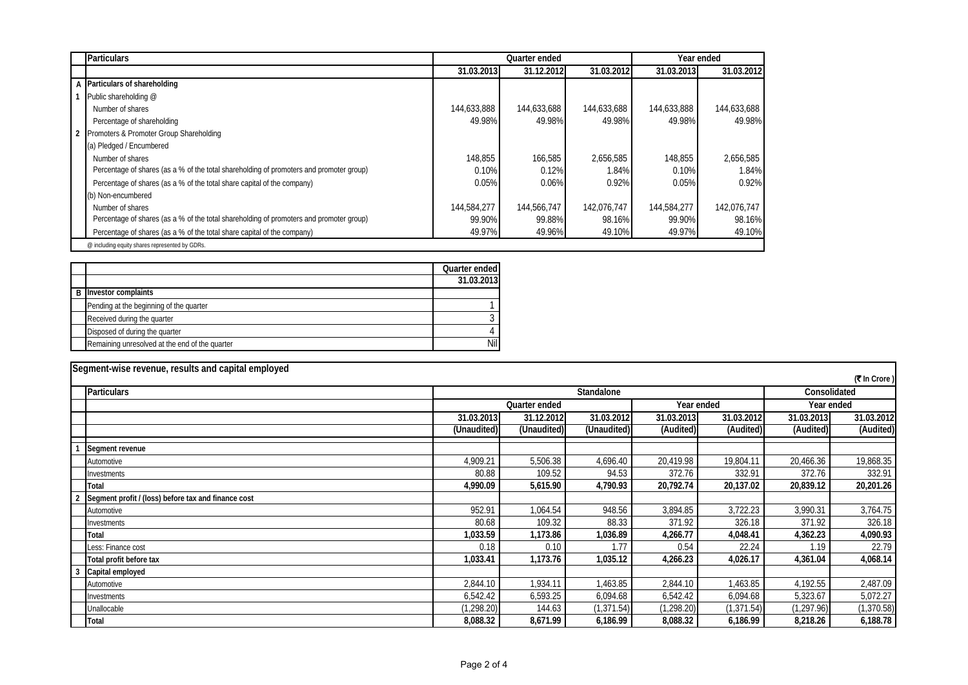| <b>Particulars</b>                                                                      |             | Quarter ended |             | Year ended  |             |
|-----------------------------------------------------------------------------------------|-------------|---------------|-------------|-------------|-------------|
|                                                                                         | 31.03.2013  | 31.12.2012    | 31.03.2012  | 31.03.2013  | 31.03.2012  |
| A Particulars of shareholding                                                           |             |               |             |             |             |
| Public shareholding @                                                                   |             |               |             |             |             |
| Number of shares                                                                        | 144,633,888 | 144,633,688   | 144,633,688 | 144,633,888 | 144,633,688 |
| Percentage of shareholding                                                              | 49.98%      | 49.98%        | 49.98%      | 49.98%      | 49.98%      |
| 2 Promoters & Promoter Group Shareholding                                               |             |               |             |             |             |
| (a) Pledged / Encumbered                                                                |             |               |             |             |             |
| Number of shares                                                                        | 148,855     | 166,585       | 2.656.585   | 148,855     | 2,656,585   |
| Percentage of shares (as a % of the total shareholding of promoters and promoter group) | 0.10%       | 0.12%         | 1.84%       | 0.10%       | 1.84%       |
| Percentage of shares (as a % of the total share capital of the company)                 | 0.05%       | 0.06%         | 0.92%       | 0.05%       | 0.92%       |
| (b) Non-encumbered                                                                      |             |               |             |             |             |
| Number of shares                                                                        | 144,584,277 | 144,566,747   | 142,076,747 | 144,584,277 | 142,076,747 |
| Percentage of shares (as a % of the total shareholding of promoters and promoter group) | 99.90%      | 99.88%        | 98.16%      | 99.90%      | 98.16%      |
| Percentage of shares (as a % of the total share capital of the company)                 | 49.97%      | 49.96%        | 49.10%      | 49.97%      | 49.10%      |
| @ including equity shares represented by GDRs.                                          |             |               |             |             |             |

|                                                | Quarter ended |
|------------------------------------------------|---------------|
|                                                | 31.03.2013    |
| <b>B</b> Investor complaints                   |               |
| Pending at the beginning of the quarter        |               |
| Received during the quarter                    |               |
| Disposed of during the quarter                 |               |
| Remaining unresolved at the end of the quarter | Nil           |

| Segment-wise revenue, results and capital employed  |                            |               |             |             |            |             |              |
|-----------------------------------------------------|----------------------------|---------------|-------------|-------------|------------|-------------|--------------|
|                                                     |                            |               |             |             |            |             | (₹ In Crore) |
| <b>Particulars</b>                                  | Standalone<br>Consolidated |               |             |             |            |             |              |
|                                                     |                            | Quarter ended |             | Year ended  |            | Year ended  |              |
|                                                     | 31.03.2013                 | 31.12.2012    | 31.03.2012  | 31.03.2013  | 31.03.2012 | 31.03.2013  | 31.03.2012   |
|                                                     | (Unaudited)                | (Unaudited)   | (Unaudited) | (Audited)   | (Audited)  | (Audited)   | (Audited)    |
| Segment revenue                                     |                            |               |             |             |            |             |              |
| Automotive                                          | 4,909.21                   | 5,506.38      | 4,696.40    | 20,419.98   | 19,804.11  | 20,466.36   | 19,868.35    |
| Investments                                         | 80.88                      | 109.52        | 94.53       | 372.76      | 332.91     | 372.76      | 332.91       |
| Total                                               | 4,990.09                   | 5,615.90      | 4,790.93    | 20,792.74   | 20,137.02  | 20,839.12   | 20,201.26    |
| Segment profit / (loss) before tax and finance cost |                            |               |             |             |            |             |              |
| Automotive                                          | 952.91                     | 1,064.54      | 948.56      | 3,894.85    | 3,722.23   | 3,990.31    | 3,764.75     |
| Investments                                         | 80.68                      | 109.32        | 88.33       | 371.92      | 326.18     | 371.92      | 326.18       |
| Total                                               | 1,033.59                   | 1,173.86      | 1,036.89    | 4,266.77    | 4,048.41   | 4,362.23    | 4,090.93     |
| Less: Finance cost                                  | 0.18                       | 0.10          | 1.77        | 0.54        | 22.24      | 1.19        | 22.79        |
| Total profit before tax                             | 1,033.41                   | 1,173.76      | 1,035.12    | 4,266.23    | 4,026.17   | 4,361.04    | 4,068.14     |
| 3<br>Capital employed                               |                            |               |             |             |            |             |              |
| Automotive                                          | 2,844.10                   | 1,934.11      | 1,463.85    | 2,844.10    | ,463.85    | 4,192.55    | 2,487.09     |
| Investments                                         | 6,542.42                   | 6,593.25      | 6,094.68    | 6,542.42    | 6,094.68   | 5,323.67    | 5,072.27     |
| Unallocable                                         | (1, 298.20)                | 144.63        | (1, 371.54) | (1, 298.20) | (1,371.54) | (1, 297.96) | (1, 370.58)  |
| Total                                               | 8,088.32                   | 8,671.99      | 6,186.99    | 8,088.32    | 6,186.99   | 8,218.26    | 6,188.78     |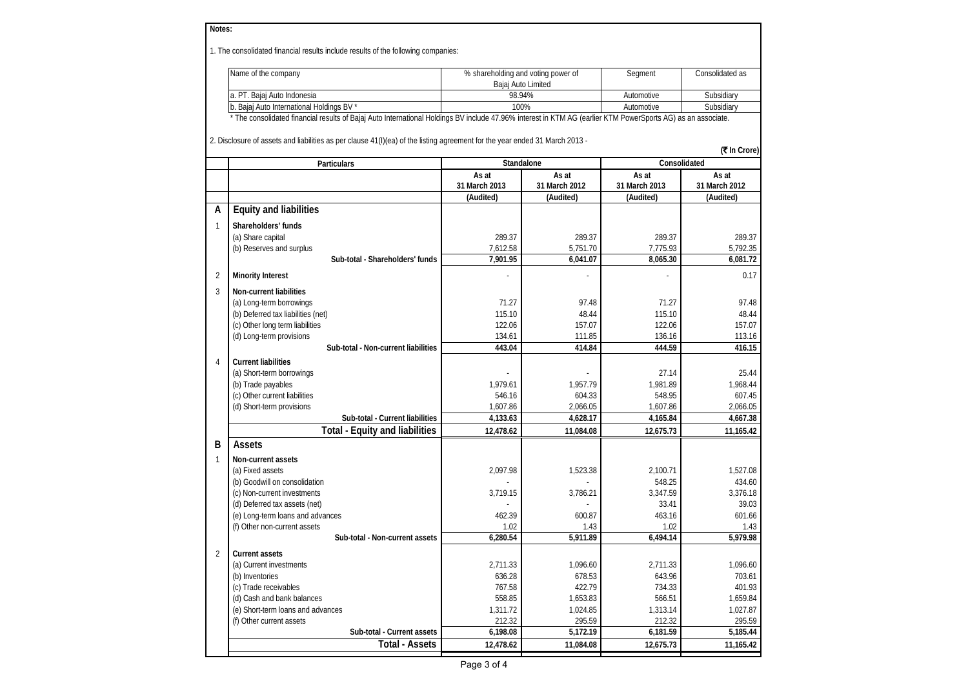| Notes:         |                                                                                                                                                              |                                                          |               |               |                 |  |
|----------------|--------------------------------------------------------------------------------------------------------------------------------------------------------------|----------------------------------------------------------|---------------|---------------|-----------------|--|
|                | 1. The consolidated financial results include results of the following companies:                                                                            |                                                          |               |               |                 |  |
|                | Name of the company                                                                                                                                          | % shareholding and voting power of<br>Bajaj Auto Limited |               | Segment       | Consolidated as |  |
|                | a. PT. Bajaj Auto Indonesia                                                                                                                                  | 98.94%                                                   |               | Automotive    | Subsidiary      |  |
|                | b. Bajaj Auto International Holdings BV *                                                                                                                    | 100%                                                     |               | Automotive    | Subsidiary      |  |
|                | * The consolidated financial results of Bajaj Auto International Holdings BV include 47.96% interest in KTM AG (earlier KTM PowerSports AG) as an associate. |                                                          |               |               |                 |  |
|                | 2. Disclosure of assets and liabilities as per clause 41(I)(ea) of the listing agreement for the year ended 31 March 2013 -                                  |                                                          |               |               | (₹ In Crore)    |  |
|                | Particulars                                                                                                                                                  | Standalone                                               |               | Consolidated  |                 |  |
|                |                                                                                                                                                              | As at                                                    | As at         | As at         | As at           |  |
|                |                                                                                                                                                              | 31 March 2013                                            | 31 March 2012 | 31 March 2013 | 31 March 2012   |  |
|                |                                                                                                                                                              | (Audited)                                                | (Audited)     | (Audited)     | (Audited)       |  |
| А              | <b>Equity and liabilities</b>                                                                                                                                |                                                          |               |               |                 |  |
| 1              | Shareholders' funds                                                                                                                                          |                                                          |               |               |                 |  |
|                | (a) Share capital                                                                                                                                            | 289.37                                                   | 289.37        | 289.37        | 289.37          |  |
|                | (b) Reserves and surplus                                                                                                                                     | 7,612.58                                                 | 5,751.70      | 7,775.93      | 5,792.35        |  |
|                | Sub-total - Shareholders' funds                                                                                                                              | 7,901.95                                                 | 6,041.07      | 8,065.30      | 6,081.72        |  |
| $\overline{2}$ | <b>Minority Interest</b>                                                                                                                                     |                                                          |               |               | 0.17            |  |
| 3              | <b>Non-current liabilities</b>                                                                                                                               |                                                          |               |               |                 |  |
|                | (a) Long-term borrowings                                                                                                                                     | 71.27                                                    | 97.48         | 71.27         | 97.48           |  |
|                | (b) Deferred tax liabilities (net)                                                                                                                           | 115.10                                                   | 48.44         | 115.10        | 48.44           |  |
|                | (c) Other long term liabilities                                                                                                                              | 122.06                                                   | 157.07        | 122.06        | 157.07          |  |
|                | (d) Long-term provisions                                                                                                                                     | 134.61                                                   | 111.85        | 136.16        | 113.16          |  |
|                | Sub-total - Non-current liabilities                                                                                                                          | 443.04                                                   | 414.84        | 444.59        | 416.15          |  |
| $\overline{4}$ | <b>Current liabilities</b>                                                                                                                                   |                                                          |               |               |                 |  |
|                | (a) Short-term borrowings                                                                                                                                    |                                                          |               | 27.14         | 25.44           |  |
|                | (b) Trade payables                                                                                                                                           | 1,979.61                                                 | 1,957.79      | 1,981.89      | 1,968.44        |  |
|                | (c) Other current liabilities                                                                                                                                | 546.16                                                   | 604.33        | 548.95        | 607.45          |  |
|                | (d) Short-term provisions                                                                                                                                    | 1,607.86                                                 | 2,066.05      | 1,607.86      | 2,066.05        |  |
|                | Sub-total - Current liabilities                                                                                                                              | 4,133.63                                                 | 4,628.17      | 4,165.84      | 4,667.38        |  |
|                | <b>Total - Equity and liabilities</b>                                                                                                                        | 12,478.62                                                | 11,084.08     | 12,675.73     | 11,165.42       |  |
| B              | Assets                                                                                                                                                       |                                                          |               |               |                 |  |
| 1              | Non-current assets                                                                                                                                           |                                                          |               |               |                 |  |
|                | (a) Fixed assets                                                                                                                                             | 2,097.98                                                 | 1,523.38      | 2,100.71      | 1,527.08        |  |
|                | (b) Goodwill on consolidation                                                                                                                                |                                                          |               | 548.25        | 434.60          |  |
|                | (c) Non-current investments                                                                                                                                  | 3,719.15                                                 | 3,786.21      | 3.347.59      | 3,376.18        |  |
|                | (d) Deferred tax assets (net)                                                                                                                                |                                                          |               | 33.41         | 39.03           |  |
|                | (e) Long-term loans and advances                                                                                                                             | 462.39                                                   | 600.87        | 463.16        | 601.66          |  |
|                | (f) Other non-current assets                                                                                                                                 | 1.02                                                     | 1.43          | 1.02          | 1.43            |  |
|                | Sub-total - Non-current assets                                                                                                                               | 6,280.54                                                 | 5,911.89      | 6,494.14      | 5,979.98        |  |
| $\overline{2}$ | <b>Current assets</b>                                                                                                                                        |                                                          |               |               |                 |  |
|                | (a) Current investments                                                                                                                                      | 2,711.33                                                 | 1,096.60      | 2,711.33      | 1,096.60        |  |
|                | (b) Inventories                                                                                                                                              | 636.28                                                   | 678.53        | 643.96        | 703.61          |  |
|                | (c) Trade receivables                                                                                                                                        | 767.58                                                   | 422.79        | 734.33        | 401.93          |  |
|                | (d) Cash and bank balances                                                                                                                                   | 558.85                                                   | 1,653.83      | 566.51        | 1,659.84        |  |
|                | (e) Short-term loans and advances                                                                                                                            | 1,311.72                                                 | 1,024.85      | 1,313.14      | 1,027.87        |  |
|                | (f) Other current assets                                                                                                                                     | 212.32                                                   | 295.59        | 212.32        | 295.59          |  |
|                | Sub-total - Current assets                                                                                                                                   | 6,198.08                                                 | 5,172.19      | 6,181.59      | 5,185.44        |  |
|                | <b>Total - Assets</b>                                                                                                                                        | 12,478.62                                                | 11,084.08     | 12,675.73     | 11,165.42       |  |
|                |                                                                                                                                                              |                                                          |               |               |                 |  |